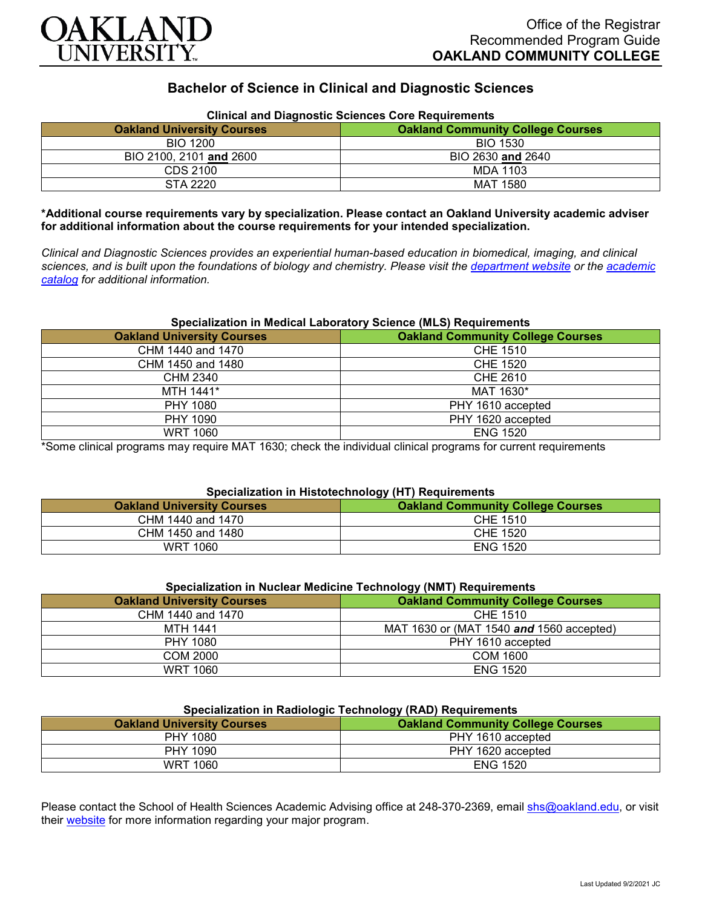

# **Bachelor of Science in Clinical and Diagnostic Sciences**

| Clinical and Diagnostic Sciences Core Requirements<br><b>Oakland University Courses</b><br><b>Oakland Community College Courses</b> |                   |
|-------------------------------------------------------------------------------------------------------------------------------------|-------------------|
| <b>BIO 1200</b>                                                                                                                     | <b>BIO 1530</b>   |
| BIO 2100, 2101 and 2600                                                                                                             | BIO 2630 and 2640 |
| CDS 2100                                                                                                                            | MDA 1103          |
| STA 2220                                                                                                                            | <b>MAT 1580</b>   |

# **Clinical and Diagnostic Sciences Core Requirements**

**\*Additional course requirements vary by specialization. Please contact an Oakland University academic adviser for additional information about the course requirements for your intended specialization.**

*Clinical and Diagnostic Sciences provides an experiential human-based education in biomedical, imaging, and clinical sciences, and is built upon the foundations of biology and chemistry. Please visit the [department website](https://www.oakland.edu/shs/clinical-and-diagnostic-sciences/) or the [academic](http://catalog.oakland.edu/preview_program.php?catoid=53&poid=8663)  [catalog](http://catalog.oakland.edu/preview_program.php?catoid=53&poid=8663) for additional information.*

#### **Specialization in Medical Laboratory Science (MLS) Requirements**

| <b>Oakland University Courses</b> | <b>Oakland Community College Courses</b> |
|-----------------------------------|------------------------------------------|
| CHM 1440 and 1470                 | CHE 1510                                 |
| CHM 1450 and 1480                 | <b>CHE 1520</b>                          |
| CHM 2340                          | CHE 2610                                 |
| MTH 1441*                         | MAT 1630*                                |
| <b>PHY 1080</b>                   | PHY 1610 accepted                        |
| PHY 1090                          | PHY 1620 accepted                        |
| <b>WRT 1060</b>                   | <b>ENG 1520</b>                          |

\*Some clinical programs may require MAT 1630; check the individual clinical programs for current requirements

## **Specialization in Histotechnology (HT) Requirements**

| <b>Oakland University Courses</b> | <b>Oakland Community College Courses</b> |
|-----------------------------------|------------------------------------------|
| CHM 1440 and 1470                 | CHE 1510                                 |
| CHM 1450 and 1480                 | CHE 1520                                 |
| WRT 1060                          | <b>ENG 1520</b>                          |

| Specialization in Nuclear Medicine Technology (NMT) Requirements |                                          |
|------------------------------------------------------------------|------------------------------------------|
| <b>Oakland University Courses</b>                                | <b>Oakland Community College Courses</b> |
| CHM 1440 and 1470                                                | CHE 1510                                 |
| <b>MTH 1441</b>                                                  | MAT 1630 or (MAT 1540 and 1560 accepted) |
| PHY 1080                                                         | PHY 1610 accepted                        |
| COM 2000                                                         | COM 1600                                 |
| WRT 1060                                                         | <b>ENG 1520</b>                          |

#### **Specialization in Radiologic Technology (RAD) Requirements**

| <b>Oakland University Courses</b> | <b>Oakland Community College Courses</b> |
|-----------------------------------|------------------------------------------|
| PHY 1080                          | PHY 1610 accepted                        |
| PHY 1090                          | PHY 1620 accepted                        |
| <b>WRT 1060</b>                   | <b>ENG 1520</b>                          |

Please contact the School of Health Sciences Academic Advising office at 248-370-2369, email [shs@oakland.edu,](mailto:shs@oakland.edu) or visit their [website](http://www.oakland.edu/shs/advising) for more information regarding your major program.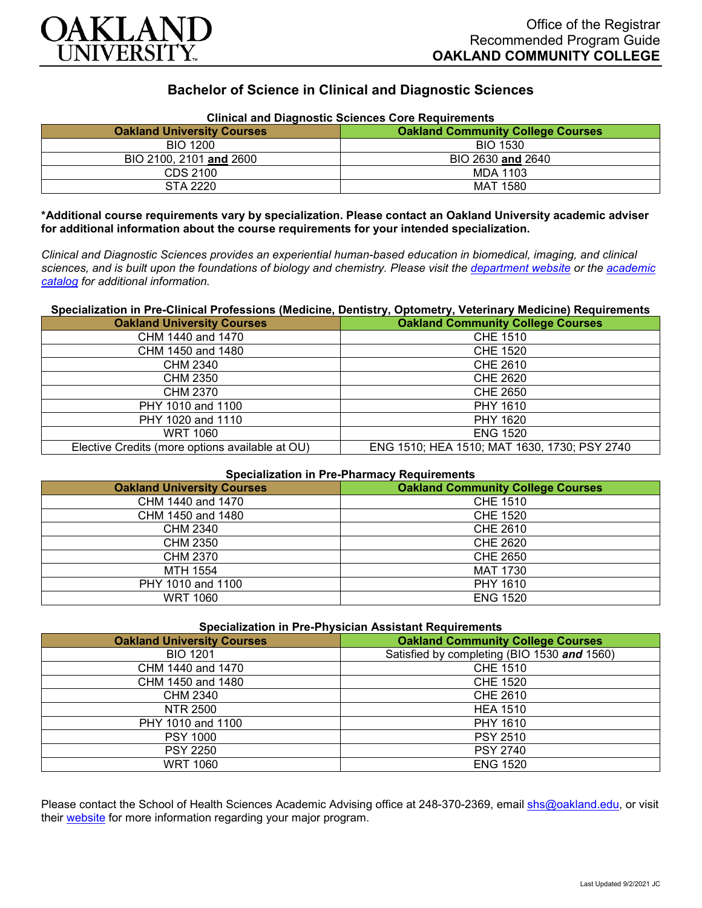

# **Bachelor of Science in Clinical and Diagnostic Sciences**

| <b>Clinical and Diagnostic Sciences Core Requirements</b> |                                          |
|-----------------------------------------------------------|------------------------------------------|
| <b>Oakland University Courses</b>                         | <b>Oakland Community College Courses</b> |
| <b>BIO 1200</b>                                           | <b>BIO 1530</b>                          |
| BIO 2100, 2101 and 2600                                   | BIO 2630 and 2640                        |
| CDS 2100                                                  | MDA 1103                                 |
| STA 2220                                                  | MAT 1580                                 |

**\*Additional course requirements vary by specialization. Please contact an Oakland University academic adviser for additional information about the course requirements for your intended specialization.**

*Clinical and Diagnostic Sciences provides an experiential human-based education in biomedical, imaging, and clinical sciences, and is built upon the foundations of biology and chemistry. Please visit the [department website](https://www.oakland.edu/shs/clinical-and-diagnostic-sciences/) or the [academic](http://catalog.oakland.edu/preview_program.php?catoid=53&poid=8663)  [catalog](http://catalog.oakland.edu/preview_program.php?catoid=53&poid=8663) for additional information.*

### **Specialization in Pre-Clinical Professions (Medicine, Dentistry, Optometry, Veterinary Medicine) Requirements**

| <b>Oakland University Courses</b>               | <b>Oakland Community College Courses</b>     |
|-------------------------------------------------|----------------------------------------------|
| CHM 1440 and 1470                               | <b>CHE 1510</b>                              |
| CHM 1450 and 1480                               | CHE 1520                                     |
| CHM 2340                                        | CHE 2610                                     |
| <b>CHM 2350</b>                                 | <b>CHE 2620</b>                              |
| CHM 2370                                        | CHE 2650                                     |
| PHY 1010 and 1100                               | PHY 1610                                     |
| PHY 1020 and 1110                               | PHY 1620                                     |
| <b>WRT 1060</b>                                 | <b>ENG 1520</b>                              |
| Elective Credits (more options available at OU) | ENG 1510; HEA 1510; MAT 1630, 1730; PSY 2740 |

## **Specialization in Pre-Pharmacy Requirements**

| <b>Oakland University Courses</b> | <b>Oakland Community College Courses</b> |
|-----------------------------------|------------------------------------------|
| CHM 1440 and 1470                 | CHE 1510                                 |
| CHM 1450 and 1480                 | CHE 1520                                 |
| CHM 2340                          | CHE 2610                                 |
| <b>CHM 2350</b>                   | <b>CHE 2620</b>                          |
| CHM 2370                          | <b>CHE 2650</b>                          |
| MTH 1554                          | <b>MAT 1730</b>                          |
| PHY 1010 and 1100                 | PHY 1610                                 |
| <b>WRT 1060</b>                   | <b>ENG 1520</b>                          |

| <b>Specialization in Pre-Physician Assistant Requirements</b> |                                             |
|---------------------------------------------------------------|---------------------------------------------|
| <b>Oakland University Courses</b>                             | <b>Oakland Community College Courses</b>    |
| <b>BIO 1201</b>                                               | Satisfied by completing (BIO 1530 and 1560) |
| CHM 1440 and 1470                                             | CHE 1510                                    |
| CHM 1450 and 1480                                             | <b>CHE 1520</b>                             |
| CHM 2340                                                      | CHE 2610                                    |
| NTR 2500                                                      | <b>HEA 1510</b>                             |
| PHY 1010 and 1100                                             | PHY 1610                                    |
| <b>PSY 1000</b>                                               | <b>PSY 2510</b>                             |
| <b>PSY 2250</b>                                               | <b>PSY 2740</b>                             |
| <b>WRT 1060</b>                                               | <b>ENG 1520</b>                             |

Please contact the School of Health Sciences Academic Advising office at 248-370-2369, email [shs@oakland.edu,](mailto:shs@oakland.edu) or visit their [website](http://www.oakland.edu/shs/advising) for more information regarding your major program.